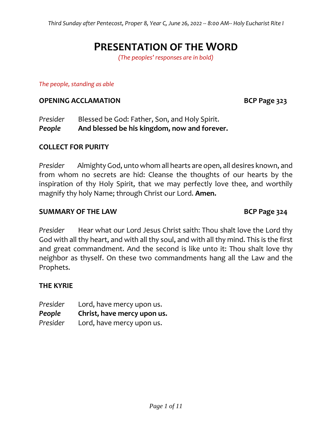# **PRESENTATION OF THE WORD**

*(The peoples' responses are in bold)*

#### *The people, standing as able*

### **OPENING ACCLAMATION BCP Page 323**

*Presider* Blessed be God: Father, Son, and Holy Spirit. *People* **And blessed be his kingdom, now and forever.**

### **COLLECT FOR PURITY**

*Presider* Almighty God, unto whom all hearts are open, all desires known, and from whom no secrets are hid: Cleanse the thoughts of our hearts by the inspiration of thy Holy Spirit, that we may perfectly love thee, and worthily magnify thy holy Name; through Christ our Lord. **Amen.**

### **SUMMARY OF THE LAW BCP Page 324**

*Presider* Hear what our Lord Jesus Christ saith: Thou shalt love the Lord thy God with all thy heart, and with all thy soul, and with all thy mind. This is the first and great commandment. And the second is like unto it: Thou shalt love thy neighbor as thyself. On these two commandments hang all the Law and the Prophets.

# **THE KYRIE**

*Presider* Lord, have mercy upon us. *People* **Christ, have mercy upon us.** *Presider* Lord, have mercy upon us.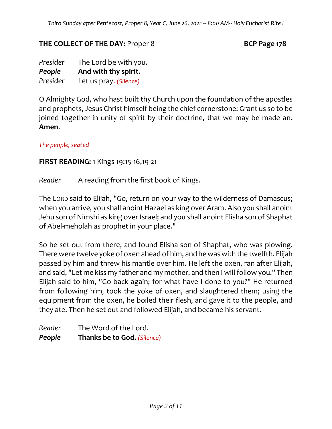# **THE COLLECT OF THE DAY:** Proper 8 **BCP Page 178**

*Presider* The Lord be with you. *People* **And with thy spirit.**  *Presider* Let us pray. *(Silence)*

O Almighty God, who hast built thy Church upon the foundation of the apostles and prophets, Jesus Christ himself being the chief cornerstone: Grant us so to be joined together in unity of spirit by their doctrine, that we may be made an. **Amen**.

*The people, seated*

# **FIRST READING:** 1 Kings 19:15-16,19-21

*Reader* A reading from the first book of Kings.

The LORD said to Elijah, "Go, return on your way to the wilderness of Damascus; when you arrive, you shall anoint Hazael as king over Aram. Also you shall anoint Jehu son of Nimshi as king over Israel; and you shall anoint Elisha son of Shaphat of Abel-meholah as prophet in your place."

So he set out from there, and found Elisha son of Shaphat, who was plowing. There were twelve yoke of oxen ahead of him, and he was with the twelfth. Elijah passed by him and threw his mantle over him. He left the oxen, ran after Elijah, and said, "Let me kiss my father and my mother, and then I will follow you." Then Elijah said to him, "Go back again; for what have I done to you?" He returned from following him, took the yoke of oxen, and slaughtered them; using the equipment from the oxen, he boiled their flesh, and gave it to the people, and they ate. Then he set out and followed Elijah, and became his servant.

*Reader* The Word of the Lord. *People* **Thanks be to God.** *(Silence)*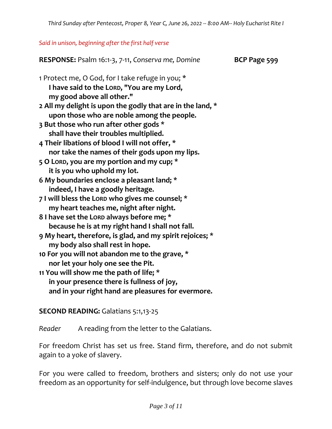### *Said in unison, beginning after the first half verse*

**RESPONSE:** Psalm 16:1-3, 7-11, *Conserva me, Domine* **BCP Page 599** 1 Protect me, O God, for I take refuge in you; \* **I have said to the LORD, "You are my Lord, my good above all other." 2 All my delight is upon the godly that are in the land, \* upon those who are noble among the people. 3 But those who run after other gods \* shall have their troubles multiplied. 4 Their libations of blood I will not offer, \* nor take the names of their gods upon my lips. 5 O LORD, you are my portion and my cup; \* it is you who uphold my lot. 6 My boundaries enclose a pleasant land; \* indeed, I have a goodly heritage. 7 I will bless the LORD who gives me counsel; \* my heart teaches me, night after night. 8 I have set the LORD always before me; \* because he is at my right hand I shall not fall. 9 My heart, therefore, is glad, and my spirit rejoices; \* my body also shall rest in hope. 10 For you will not abandon me to the grave, \* nor let your holy one see the Pit. 11 You will show me the path of life; \* in your presence there is fullness of joy, and in your right hand are pleasures for evermore.**

**SECOND READING:** Galatians 5:1,13-25

*Reader* A reading from the letter to the Galatians.

For freedom Christ has set us free. Stand firm, therefore, and do not submit again to a yoke of slavery.

For you were called to freedom, brothers and sisters; only do not use your freedom as an opportunity for self-indulgence, but through love become slaves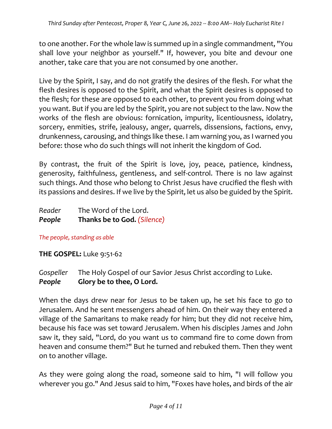to one another. For the whole law is summed up in a single commandment, "You shall love your neighbor as yourself." If, however, you bite and devour one another, take care that you are not consumed by one another.

Live by the Spirit, I say, and do not gratify the desires of the flesh. For what the flesh desires is opposed to the Spirit, and what the Spirit desires is opposed to the flesh; for these are opposed to each other, to prevent you from doing what you want. But if you are led by the Spirit, you are not subject to the law. Now the works of the flesh are obvious: fornication, impurity, licentiousness, idolatry, sorcery, enmities, strife, jealousy, anger, quarrels, dissensions, factions, envy, drunkenness, carousing, and things like these. I am warning you, as I warned you before: those who do such things will not inherit the kingdom of God.

By contrast, the fruit of the Spirit is love, joy, peace, patience, kindness, generosity, faithfulness, gentleness, and self-control. There is no law against such things. And those who belong to Christ Jesus have crucified the flesh with its passions and desires. If we live by the Spirit, let us also be guided by the Spirit.

| People | Thanks be to God. (Silence) |
|--------|-----------------------------|
| Reader | The Word of the Lord.       |

*The people, standing as able*

**THE GOSPEL:** Luke 9:51-62

*Gospeller* The Holy Gospel of our Savior Jesus Christ according to Luke. *People* **Glory be to thee, O Lord.**

When the days drew near for Jesus to be taken up, he set his face to go to Jerusalem. And he sent messengers ahead of him. On their way they entered a village of the Samaritans to make ready for him; but they did not receive him, because his face was set toward Jerusalem. When his disciples James and John saw it, they said, "Lord, do you want us to command fire to come down from heaven and consume them?" But he turned and rebuked them. Then they went on to another village.

As they were going along the road, someone said to him, "I will follow you wherever you go." And Jesus said to him, "Foxes have holes, and birds of the air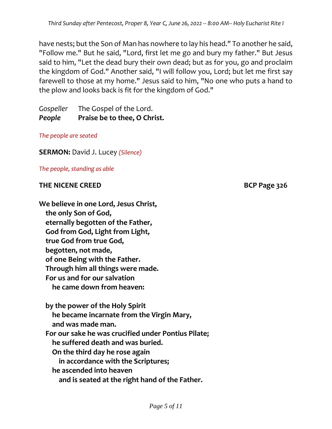have nests; but the Son of Man has nowhere to lay his head." To another he said, "Follow me." But he said, "Lord, first let me go and bury my father." But Jesus said to him, "Let the dead bury their own dead; but as for you, go and proclaim the kingdom of God." Another said, "I will follow you, Lord; but let me first say farewell to those at my home." Jesus said to him, "No one who puts a hand to the plow and looks back is fit for the kingdom of God."

*Gospeller* The Gospel of the Lord. *People* **Praise be to thee, O Christ.**

*The people are seated*

**SERMON:** David J. Lucey *(Silence)*

*The people, standing as able*

# **THE NICENE CREED BCP Page 326**

**We believe in one Lord, Jesus Christ, the only Son of God, eternally begotten of the Father, God from God, Light from Light, true God from true God, begotten, not made, of one Being with the Father. Through him all things were made. For us and for our salvation he came down from heaven:**

 **by the power of the Holy Spirit he became incarnate from the Virgin Mary, and was made man. For our sake he was crucified under Pontius Pilate; he suffered death and was buried. On the third day he rose again in accordance with the Scriptures; he ascended into heaven and is seated at the right hand of the Father.**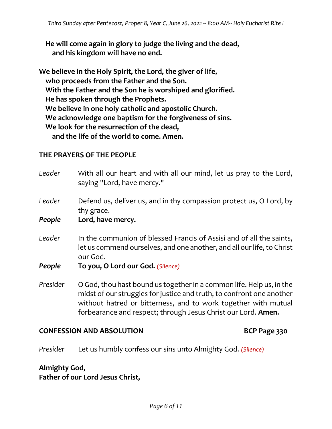**He will come again in glory to judge the living and the dead, and his kingdom will have no end.**

**We believe in the Holy Spirit, the Lord, the giver of life, who proceeds from the Father and the Son. With the Father and the Son he is worshiped and glorified. He has spoken through the Prophets. We believe in one holy catholic and apostolic Church. We acknowledge one baptism for the forgiveness of sins. We look for the resurrection of the dead, and the life of the world to come. Amen.**

# **THE PRAYERS OF THE PEOPLE**

| Leader   | With all our heart and with all our mind, let us pray to the Lord,<br>saying "Lord, have mercy."                                                                                                                                                                                 |
|----------|----------------------------------------------------------------------------------------------------------------------------------------------------------------------------------------------------------------------------------------------------------------------------------|
| Leader   | Defend us, deliver us, and in thy compassion protect us, O Lord, by<br>thy grace.                                                                                                                                                                                                |
| People   | Lord, have mercy.                                                                                                                                                                                                                                                                |
| Leader   | In the communion of blessed Francis of Assisi and of all the saints,<br>let us commend ourselves, and one another, and all our life, to Christ<br>our God.                                                                                                                       |
| People   | To you, O Lord our God. (Silence)                                                                                                                                                                                                                                                |
| Presider | O God, thou hast bound us together in a common life. Help us, in the<br>midst of our struggles for justice and truth, to confront one another<br>without hatred or bitterness, and to work together with mutual<br>forbearance and respect; through Jesus Christ our Lord. Amen. |

# **CONFESSION AND ABSOLUTION BCP Page 330**

*Presider* Let us humbly confess our sins unto Almighty God. *(Silence)*

**Almighty God, Father of our Lord Jesus Christ,**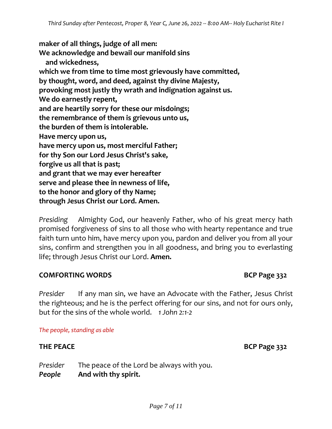**maker of all things, judge of all men: We acknowledge and bewail our manifold sins and wickedness, which we from time to time most grievously have committed, by thought, word, and deed, against thy divine Majesty, provoking most justly thy wrath and indignation against us. We do earnestly repent, and are heartily sorry for these our misdoings; the remembrance of them is grievous unto us, the burden of them is intolerable. Have mercy upon us, have mercy upon us, most merciful Father; for thy Son our Lord Jesus Christ's sake, forgive us all that is past; and grant that we may ever hereafter serve and please thee in newness of life, to the honor and glory of thy Name;**

**through Jesus Christ our Lord. Amen.**

*Presiding* Almighty God, our heavenly Father, who of his great mercy hath promised forgiveness of sins to all those who with hearty repentance and true faith turn unto him, have mercy upon you, pardon and deliver you from all your sins, confirm and strengthen you in all goodness, and bring you to everlasting life; through Jesus Christ our Lord. **Amen.**

# **COMFORTING WORDS BCP Page 332**

*Presider* If any man sin, we have an Advocate with the Father, Jesus Christ the righteous; and he is the perfect offering for our sins, and not for ours only, but for the sins of the whole world. *1 John 2:1-2*

### *The people, standing as able*

# **THE PEACE BCP Page 332**

*Presider* The peace of the Lord be always with you. *People* **And with thy spirit.**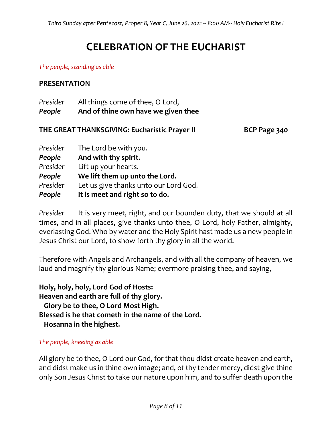# **CELEBRATION OF THE EUCHARIST**

#### *The people, standing as able*

### **PRESENTATION**

| Presider | All things come of thee, O Lord,    |  |
|----------|-------------------------------------|--|
| People   | And of thine own have we given thee |  |

# **THE GREAT THANKSGIVING: Eucharistic Prayer II BCP Page 340**

| Presider | The Lord be with you.                 |
|----------|---------------------------------------|
| People   | And with thy spirit.                  |
| Presider | Lift up your hearts.                  |
| People   | We lift them up unto the Lord.        |
| Presider | Let us give thanks unto our Lord God. |
| People   | It is meet and right so to do.        |

*Presider* It is very meet, right, and our bounden duty, that we should at all times, and in all places, give thanks unto thee, O Lord, holy Father, almighty, everlasting God. Who by water and the Holy Spirit hast made us a new people in Jesus Christ our Lord, to show forth thy glory in all the world.

Therefore with Angels and Archangels, and with all the company of heaven, we laud and magnify thy glorious Name; evermore praising thee, and saying,

**Holy, holy, holy, Lord God of Hosts: Heaven and earth are full of thy glory. Glory be to thee, O Lord Most High. Blessed is he that cometh in the name of the Lord. Hosanna in the highest.**

#### *The people, kneeling as able*

All glory be to thee, O Lord our God, for that thou didst create heaven and earth, and didst make us in thine own image; and, of thy tender mercy, didst give thine only Son Jesus Christ to take our nature upon him, and to suffer death upon the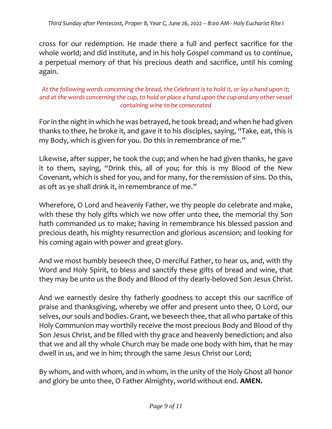cross for our redemption. He made there a full and perfect sacrifice for the whole world; and did institute, and in his holy Gospel command us to continue, a perpetual memory of that his precious death and sacrifice, until his coming again.

# *At the following words concerning the bread, the Celebrant is to hold it, or lay a hand upon it; and at the words concerning the cup, to hold or place a hand upon the cup and any other vessel containing wine to be consecrated*

For in the night in which he was betrayed, he took bread; and when he had given thanks to thee, he broke it, and gave it to his disciples, saying, "Take, eat, this is my Body, which is given for you. Do this in remembrance of me."

Likewise, after supper, he took the cup; and when he had given thanks, he gave it to them, saying, "Drink this, all of you; for this is my Blood of the New Covenant, which is shed for you, and for many, for the remission of sins. Do this, as oft as ye shall drink it, in remembrance of me."

Wherefore, O Lord and heavenly Father, we thy people do celebrate and make, with these thy holy gifts which we now offer unto thee, the memorial thy Son hath commanded us to make; having in remembrance his blessed passion and precious death, his mighty resurrection and glorious ascension; and looking for his coming again with power and great glory.

And we most humbly beseech thee, O merciful Father, to hear us, and, with thy Word and Holy Spirit, to bless and sanctify these gifts of bread and wine, that they may be unto us the Body and Blood of thy dearly-beloved Son Jesus Christ.

And we earnestly desire thy fatherly goodness to accept this our sacrifice of praise and thanksgiving, whereby we offer and present unto thee, O Lord, our selves, our souls and bodies. Grant, we beseech thee, that all who partake of this Holy Communion may worthily receive the most precious Body and Blood of thy Son Jesus Christ, and be filled with thy grace and heavenly benediction; and also that we and all thy whole Church may be made one body with him, that he may dwell in us, and we in him; through the same Jesus Christ our Lord;

By whom, and with whom, and in whom, in the unity of the Holy Ghost all honor and glory be unto thee, O Father Almighty, world without end. **AMEN.**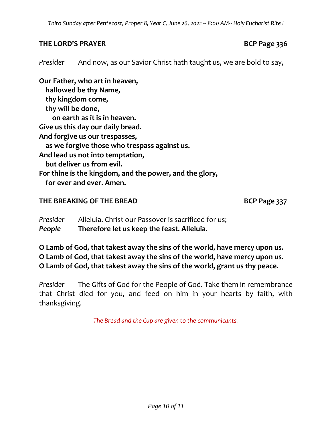# **THE LORD'S PRAYER BCP Page 336**

*Presider* And now, as our Savior Christ hath taught us, we are bold to say,

**Our Father, who art in heaven, hallowed be thy Name, thy kingdom come, thy will be done, on earth as it is in heaven. Give us this day our daily bread. And forgive us our trespasses, as we forgive those who trespass against us. And lead us not into temptation, but deliver us from evil. For thine is the kingdom, and the power, and the glory, for ever and ever. Amen.**

# **THE BREAKING OF THE BREAD BCP Page 337**

*Presider* Alleluia. Christ our Passover is sacrificed for us; *People* **Therefore let us keep the feast. Alleluia.**

**O Lamb of God, that takest away the sins of the world, have mercy upon us. O Lamb of God, that takest away the sins of the world, have mercy upon us. O Lamb of God, that takest away the sins of the world, grant us thy peace.**

*Presider* The Gifts of God for the People of God. Take them in remembrance that Christ died for you, and feed on him in your hearts by faith, with thanksgiving.

*The Bread and the Cup are given to the communicants.*